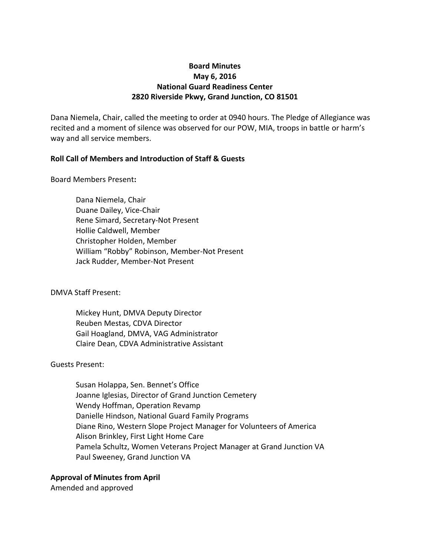# **Board Minutes May 6, 2016 National Guard Readiness Center 2820 Riverside Pkwy, Grand Junction, CO 81501**

Dana Niemela, Chair, called the meeting to order at 0940 hours. The Pledge of Allegiance was recited and a moment of silence was observed for our POW, MIA, troops in battle or harm's way and all service members.

## **Roll Call of Members and Introduction of Staff & Guests**

Board Members Present**:**

Dana Niemela, Chair Duane Dailey, Vice-Chair Rene Simard, Secretary-Not Present Hollie Caldwell, Member Christopher Holden, Member William "Robby" Robinson, Member-Not Present Jack Rudder, Member-Not Present

DMVA Staff Present:

Mickey Hunt, DMVA Deputy Director Reuben Mestas, CDVA Director Gail Hoagland, DMVA, VAG Administrator Claire Dean, CDVA Administrative Assistant

### Guests Present:

Susan Holappa, Sen. Bennet's Office Joanne Iglesias, Director of Grand Junction Cemetery Wendy Hoffman, Operation Revamp Danielle Hindson, National Guard Family Programs Diane Rino, Western Slope Project Manager for Volunteers of America Alison Brinkley, First Light Home Care Pamela Schultz, Women Veterans Project Manager at Grand Junction VA Paul Sweeney, Grand Junction VA

**Approval of Minutes from April**

Amended and approved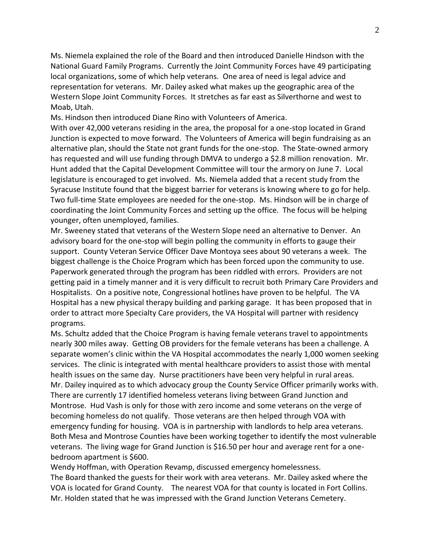Ms. Niemela explained the role of the Board and then introduced Danielle Hindson with the National Guard Family Programs. Currently the Joint Community Forces have 49 participating local organizations, some of which help veterans. One area of need is legal advice and representation for veterans. Mr. Dailey asked what makes up the geographic area of the Western Slope Joint Community Forces. It stretches as far east as Silverthorne and west to Moab, Utah.

Ms. Hindson then introduced Diane Rino with Volunteers of America.

With over 42,000 veterans residing in the area, the proposal for a one-stop located in Grand Junction is expected to move forward. The Volunteers of America will begin fundraising as an alternative plan, should the State not grant funds for the one-stop. The State-owned armory has requested and will use funding through DMVA to undergo a \$2.8 million renovation. Mr. Hunt added that the Capital Development Committee will tour the armory on June 7. Local legislature is encouraged to get involved. Ms. Niemela added that a recent study from the Syracuse Institute found that the biggest barrier for veterans is knowing where to go for help. Two full-time State employees are needed for the one-stop. Ms. Hindson will be in charge of coordinating the Joint Community Forces and setting up the office. The focus will be helping younger, often unemployed, families.

Mr. Sweeney stated that veterans of the Western Slope need an alternative to Denver. An advisory board for the one-stop will begin polling the community in efforts to gauge their support. County Veteran Service Officer Dave Montoya sees about 90 veterans a week. The biggest challenge is the Choice Program which has been forced upon the community to use. Paperwork generated through the program has been riddled with errors. Providers are not getting paid in a timely manner and it is very difficult to recruit both Primary Care Providers and Hospitalists. On a positive note, Congressional hotlines have proven to be helpful. The VA Hospital has a new physical therapy building and parking garage. It has been proposed that in order to attract more Specialty Care providers, the VA Hospital will partner with residency programs.

Ms. Schultz added that the Choice Program is having female veterans travel to appointments nearly 300 miles away. Getting OB providers for the female veterans has been a challenge. A separate women's clinic within the VA Hospital accommodates the nearly 1,000 women seeking services. The clinic is integrated with mental healthcare providers to assist those with mental health issues on the same day. Nurse practitioners have been very helpful in rural areas. Mr. Dailey inquired as to which advocacy group the County Service Officer primarily works with. There are currently 17 identified homeless veterans living between Grand Junction and Montrose. Hud Vash is only for those with zero income and some veterans on the verge of becoming homeless do not qualify. Those veterans are then helped through VOA with emergency funding for housing. VOA is in partnership with landlords to help area veterans. Both Mesa and Montrose Counties have been working together to identify the most vulnerable veterans. The living wage for Grand Junction is \$16.50 per hour and average rent for a onebedroom apartment is \$600.

Wendy Hoffman, with Operation Revamp, discussed emergency homelessness. The Board thanked the guests for their work with area veterans. Mr. Dailey asked where the VOA is located for Grand County. The nearest VOA for that county is located in Fort Collins. Mr. Holden stated that he was impressed with the Grand Junction Veterans Cemetery.